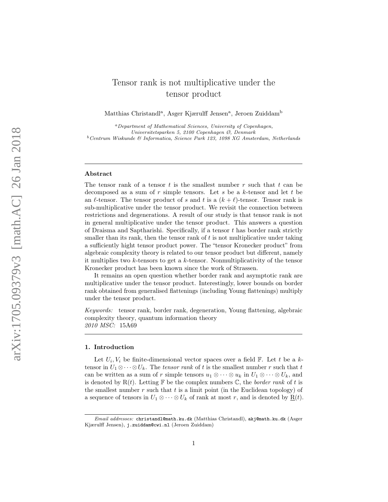# Tensor rank is not multiplicative under the tensor product

Matthias Christandl<sup>a</sup>, Asger Kjærulff Jensen<sup>a</sup>, Jeroen Zuiddam<sup>b</sup>

 ${}^a$ Department of Mathematical Sciences, University of Copenhagen, Universitetsparken 5, 2100 Copenhagen Ø, Denmark  $^{b}$  Centrum Wiskunde & Informatica, Science Park 123, 1098 XG Amsterdam, Netherlands

### Abstract

The tensor rank of a tensor  $t$  is the smallest number  $r$  such that  $t$  can be decomposed as a sum of  $r$  simple tensors. Let  $s$  be a  $k$ -tensor and let  $t$  be an  $\ell$ -tensor. The tensor product of s and t is a  $(k+\ell)$ -tensor. Tensor rank is sub-multiplicative under the tensor product. We revisit the connection between restrictions and degenerations. A result of our study is that tensor rank is not in general multiplicative under the tensor product. This answers a question of Draisma and Saptharishi. Specifically, if a tensor t has border rank strictly smaller than its rank, then the tensor rank of  $t$  is not multiplicative under taking a sufficiently hight tensor product power. The "tensor Kronecker product" from algebraic complexity theory is related to our tensor product but different, namely it multiplies two k-tensors to get a k-tensor. Nonmultiplicativity of the tensor Kronecker product has been known since the work of Strassen.

It remains an open question whether border rank and asymptotic rank are multiplicative under the tensor product. Interestingly, lower bounds on border rank obtained from generalised flattenings (including Young flattenings) multiply under the tensor product.

Keywords: tensor rank, border rank, degeneration, Young flattening, algebraic complexity theory, quantum information theory 2010 MSC: 15A69

# 1. Introduction

Let  $U_i, V_i$  be finite-dimensional vector spaces over a field  $\mathbb{F}$ . Let t be a ktensor in  $U_1 \otimes \cdots \otimes U_k$ . The *tensor rank* of t is the smallest number r such that t can be written as a sum of r simple tensors  $u_1 \otimes \cdots \otimes u_k$  in  $U_1 \otimes \cdots \otimes U_k$ , and is denoted by  $R(t)$ . Letting  $\mathbb F$  be the complex numbers  $\mathbb C$ , the *border rank* of t is the smallest number  $r$  such that  $t$  is a limit point (in the Euclidean topology) of a sequence of tensors in  $U_1 \otimes \cdots \otimes U_k$  of rank at most r, and is denoted by  $\underline{\mathbf{R}}(t)$ .

Email addresses: christandl@math.ku.dk (Matthias Christandl), akj@math.ku.dk (Asger Kjærulff Jensen), j.zuiddam@cwi.nl (Jeroen Zuiddam)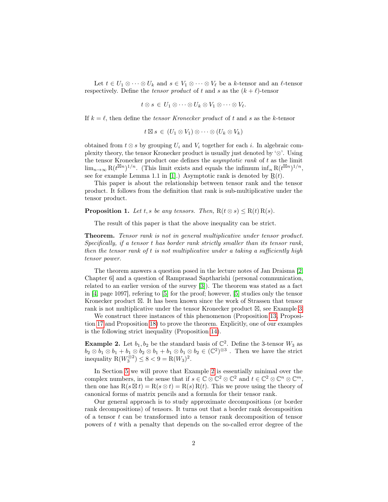Let  $t \in U_1 \otimes \cdots \otimes U_k$  and  $s \in V_1 \otimes \cdots \otimes V_\ell$  be a k-tensor and an  $\ell$ -tensor respectively. Define the *tensor product* of t and s as the  $(k + \ell)$ -tensor

$$
t\otimes s\,\in\,U_1\otimes\cdots\otimes U_k\otimes V_1\otimes\cdots\otimes V_\ell.
$$

If  $k = \ell$ , then define the *tensor Kronecker product* of t and s as the k-tensor

$$
t \boxtimes s \in (U_1 \otimes V_1) \otimes \cdots \otimes (U_k \otimes V_k)
$$

obtained from  $t \otimes s$  by grouping  $U_i$  and  $V_i$  together for each i. In algebraic complexity theory, the tensor Kronecker product is usually just denoted by '⊗'. Using the tensor Kronecker product one defines the *asymptotic rank* of  $t$  as the limit  $\lim_{n\to\infty} \mathrm{R}(t^{\boxtimes n})^{1/n}$ . (This limit exists and equals the infimum  $\inf_n \mathrm{R}(t^{\boxtimes n})^{1/n}$ , see for example Lemma 1.1 in [\[1\]](#page-12-0).) Asymptotic rank is denoted by  $R(t)$ .

This paper is about the relationship between tensor rank and the tensor product. It follows from the definition that rank is sub-multiplicative under the tensor product.

**Proposition 1.** Let t, s be any tensors. Then,  $R(t \otimes s) \leq R(t) R(s)$ .

The result of this paper is that the above inequality can be strict.

Theorem. Tensor rank is not in general multiplicative under tensor product. Specifically, if a tensor t has border rank strictly smaller than its tensor rank, then the tensor rank of  $t$  is not multiplicative under a taking a sufficiently high tensor power.

The theorem answers a question posed in the lecture notes of Jan Draisma [\[2,](#page-12-1) Chapter 6] and a question of Ramprasad Saptharishi (personal communication, related to an earlier version of the survey [\[3\]](#page-12-2)). The theorem was stated as a fact in [\[4,](#page-12-3) page 1097], refering to [\[5\]](#page-12-4) for the proof; however, [\[5\]](#page-12-4) studies only the tensor Kronecker product  $\boxtimes$ . It has been known since the work of Strassen that tensor rank is not multiplicative under the tensor Kronecker product  $\boxtimes$ , see Example [3.](#page-2-0)

We construct three instances of this phenomenon (Proposition [13,](#page-5-0) Proposition [17](#page-7-0) and Proposition [18\)](#page-7-1) to prove the theorem. Explicitly, one of our examples is the following strict inequality (Proposition [14\)](#page-6-0).

<span id="page-1-0"></span>**Example 2.** Let  $b_1, b_2$  be the standard basis of  $\mathbb{C}^2$ . Define the 3-tensor  $W_3$  as  $b_2 \otimes b_1 \otimes b_1 + b_1 \otimes b_2 \otimes b_1 + b_1 \otimes b_1 \otimes b_2 \in (\mathbb{C}^2)^{\otimes 3}$ . Then we have the strict inequality  $R(W_3^{\otimes 2}) \leq 8 < 9 = R(W_3)^2$ .

In Section [5](#page-9-0) we will prove that Example [2](#page-1-0) is essentially minimal over the complex numbers, in the sense that if  $s \in \mathbb{C} \otimes \mathbb{C}^2 \otimes \mathbb{C}^2$  and  $t \in \mathbb{C}^2 \otimes \mathbb{C}^n \otimes \mathbb{C}^m$ , then one has  $R(s \boxtimes t) = R(s \otimes t) = R(s) R(t)$ . This we prove using the theory of canonical forms of matrix pencils and a formula for their tensor rank.

Our general approach is to study approximate decompositions (or border rank decompositions) of tensors. It turns out that a border rank decomposition of a tensor t can be transformed into a tensor rank decomposition of tensor powers of t with a penalty that depends on the so-called error degree of the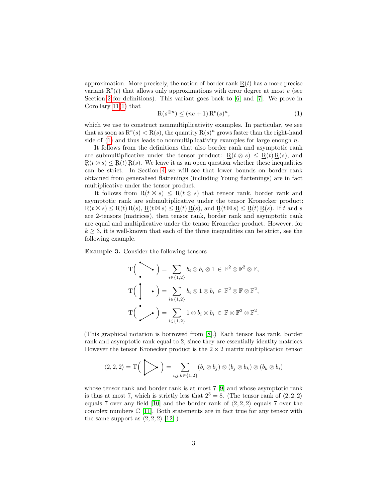approximation. More precisely, the notion of border rank  $R(t)$  has a more precise variant  $\mathbf{R}^e(t)$  that allows only approximations with error degree at most e (see Section [2](#page-3-0) for definitions). This variant goes back to [\[6\]](#page-12-5) and [\[7\]](#page-12-6). We prove in Corollary [11\(](#page-5-1)[1\)](#page-5-2) that

<span id="page-2-1"></span>
$$
R(s^{\otimes n}) \le (ne+1) R^e(s)^n,
$$
\n(1)

which we use to construct nonmultiplicativity examples. In particular, we see that as soon as  $\mathbb{R}^e(s) < \mathbb{R}(s)$ , the quantity  $\mathbb{R}(s)^n$  grows faster than the right-hand side of  $(1)$  and thus leads to nonmultiplicativity examples for large enough n.

It follows from the definitions that also border rank and asymptotic rank are submultiplicative under the tensor product:  $R(t \otimes s) \leq R(t) R(s)$ , and e e e can be strict. In Section [4](#page-7-2) we will see that lower bounds on border rank  $R(t \otimes s) \leq R(t) R(s)$ . We leave it as an open question whether these inequalities obtained from generalised flattenings (including Young flattenings) are in fact multiplicative under the tensor product.

It follows from  $R(t \boxtimes s) \leq R(t \otimes s)$  that tensor rank, border rank and asymptotic rank are submultiplicative under the tensor Kronecker product:  $R(t \boxtimes s) \leq R(t) R(s), R(t \boxtimes s) \leq R(t) R(s),$  and  $R(t \boxtimes s) \leq R(t) R(s)$ . If t and s are 2-tensors (matrices), then tensor rank, border rank and asymptotic rank are equal and multiplicative under the tensor Kronecker product. However, for  $k \geq 3$ , it is well-known that each of the three inequalities can be strict, see the following example.

<span id="page-2-0"></span>Example 3. Consider the following tensors

$$
T\left(\begin{array}{c}\n\bullet \\
\bullet\n\end{array}\right) = \sum_{i \in \{1,2\}} b_i \otimes b_i \otimes 1 \in \mathbb{F}^2 \otimes \mathbb{F}^2 \otimes \mathbb{F},
$$
\n
$$
T\left(\begin{array}{c}\n\bullet \\
\bullet\n\end{array}\right) = \sum_{i \in \{1,2\}} b_i \otimes 1 \otimes b_i \in \mathbb{F}^2 \otimes \mathbb{F} \otimes \mathbb{F}^2,
$$
\n
$$
T\left(\begin{array}{c}\n\bullet \\
\bullet\n\end{array}\right) = \sum_{i \in \{1,2\}} 1 \otimes b_i \otimes b_i \in \mathbb{F} \otimes \mathbb{F}^2 \otimes \mathbb{F}^2.
$$

(This graphical notation is borrowed from [\[8\]](#page-12-7).) Each tensor has rank, border rank and asymptotic rank equal to 2, since they are essentially identity matrices. However the tensor Kronecker product is the  $2 \times 2$  matrix multiplication tensor

$$
\langle 2,2,2\rangle=\mathrm{T}\Big(\sum_{i,j,k\in\{1,2\}}(b_i\otimes b_j)\otimes (b_j\otimes b_k)\otimes (b_k\otimes b_i)
$$

whose tensor rank and border rank is at most 7 [\[9\]](#page-12-8) and whose asymptotic rank is thus at most 7, which is strictly less that  $2^3 = 8$ . (The tensor rank of  $\langle 2, 2, 2 \rangle$ ) equals 7 over any field [\[10\]](#page-12-9) and the border rank of  $\langle 2, 2, 2 \rangle$  equals 7 over the complex numbers  $\mathbb{C}$  [\[11\]](#page-12-10). Both statements are in fact true for any tensor with the same support as  $\langle 2, 2, 2 \rangle$  [\[12\]](#page-13-0).)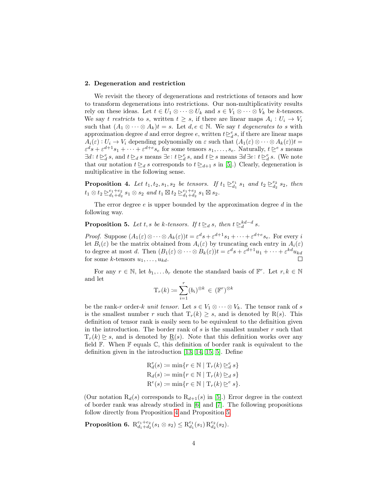## <span id="page-3-0"></span>2. Degeneration and restriction

We revisit the theory of degenerations and restrictions of tensors and how to transform degenerations into restrictions. Our non-multiplicativity results rely on these ideas. Let  $t \in U_1 \otimes \cdots \otimes U_k$  and  $s \in V_1 \otimes \cdots \otimes V_k$  be k-tensors. We say t restricts to s, written  $t \geq s$ , if there are linear maps  $A_i: U_i \to V_i$ such that  $(A_1 \otimes \cdots \otimes A_k)t = s$ . Let  $d, e \in \mathbb{N}$ . We say t degenerates to s with approximation degree d and error degree e, written  $t \geq_d^e s$ , if there are linear maps  $A_i(\varepsilon): U_i \to V_i$  depending polynomially on  $\varepsilon$  such that  $(A_1(\varepsilon) \otimes \cdots \otimes A_k(\varepsilon))t =$  $\varepsilon^d s + \varepsilon^{d+1} s_1 + \cdots + \varepsilon^{d+e} s_e$  for some tensors  $s_1, \ldots, s_e$ . Naturally,  $t \geq^e s$  means  $\exists d: t \geq_d^e s$ , and  $t \geq_d s$  means  $\exists e: t \geq_d^e s$ , and  $t \geq s$  means  $\exists d \exists e: t \geq_d^e s$ . (We note that our notation  $t \geq d s$  corresponds to  $t \geq d+1 s$  in [\[5\]](#page-12-4).) Clearly, degeneration is multiplicative in the following sense.

<span id="page-3-1"></span>**Proposition 4.** Let  $t_1, t_2, s_1, s_2$  be tensors. If  $t_1 \geq_{d_1}^{e_1} s_1$  and  $t_2 \geq_{d_2}^{e_2} s_2$ , then  $t_1 \otimes t_2 \trianglerighteq_{d_1+d_2}^{e_1+e_2} s_1 \otimes s_2 \text{ and } t_1 \boxtimes t_2 \trianglerighteq_{d_1+d_2}^{e_1+e_2} s_1 \boxtimes s_2.$ 

The error degree  $e$  is upper bounded by the approximation degree  $d$  in the following way.

<span id="page-3-2"></span>**Proposition 5.** Let t, s be k-tensors. If  $t \geq d$  s, then  $t \geq d-d$  s.

*Proof.* Suppose  $(A_1(\varepsilon) \otimes \cdots \otimes A_k(\varepsilon))t = \varepsilon^d s + \varepsilon^{d+1}s_1 + \cdots + \varepsilon^{d+e}s_e$ . For every i let  $B_i(\varepsilon)$  be the matrix obtained from  $A_i(\varepsilon)$  by truncating each entry in  $A_i(\varepsilon)$ to degree at most d. Then  $(B_1(\varepsilon) \otimes \cdots \otimes B_k(\varepsilon))t = \varepsilon^d s + \varepsilon^{d+1} u_1 + \cdots + \varepsilon^{kd} u_{kd}$ for some k-tensors  $u_1, \ldots, u_{kd}$ .  $\Box$ 

For any  $r \in \mathbb{N}$ , let  $b_1, \ldots, b_r$  denote the standard basis of  $\mathbb{F}^r$ . Let  $r, k \in \mathbb{N}$ and let

$$
\mathrm{T}_r(k) \coloneqq \sum_{i=1}^r (b_i)^{\otimes k} \in (\mathbb{F}^r)^{\otimes k}
$$

be the rank-r order-k unit tensor. Let  $s \in V_1 \otimes \cdots \otimes V_k$ . The tensor rank of s is the smallest number r such that  $T_r(k) \geq s$ , and is denoted by R(s). This definition of tensor rank is easily seen to be equivalent to the definition given in the introduction. The border rank of  $s$  is the smallest number  $r$  such that  $T_r(k) \geq s$ , and is denoted by  $\underline{R}(s)$ . Note that this definition works over any field  $\mathbb F$ . When  $\mathbb F$  equals  $\mathbb C$ , this definition of border rank is equivalent to the definition given in the introduction [\[13,](#page-13-1) [14,](#page-13-2) [15,](#page-13-3) [5\]](#page-12-4). Define

$$
\mathcal{R}_d^e(s) \coloneqq \min\{r \in \mathbb{N} \mid \mathcal{T}_r(k) \geq_d^e s\}
$$

$$
\mathcal{R}_d(s) \coloneqq \min\{r \in \mathbb{N} \mid \mathcal{T}_r(k) \geq_d s\}
$$

$$
\mathcal{R}^e(s) \coloneqq \min\{r \in \mathbb{N} \mid \mathcal{T}_r(k) \geq_e^e s\}.
$$

(Our notation  $R_d(s)$  corresponds to  $R_{d+1}(s)$  in [\[5\]](#page-12-4).) Error degree in the context of border rank was already studied in [\[6\]](#page-12-5) and [\[7\]](#page-12-6). The following propositions follow directly from Proposition [4](#page-3-1) and Proposition [5.](#page-3-2)

**Proposition 6.**  $\mathrm{R}^{e_1+e_2}_{d_1+d_2}(s_1 \otimes s_2) \leq \mathrm{R}^{e_1}_{d_1}(s_1) \, \mathrm{R}^{e_2}_{d_2}(s_2).$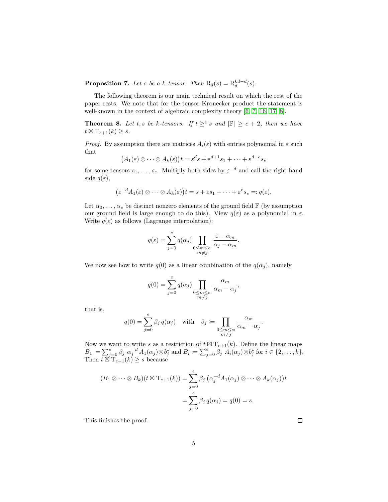**Proposition 7.** Let s be a k-tensor. Then  $R_d(s) = R_d^{kd-d}(s)$ .

The following theorem is our main technical result on which the rest of the paper rests. We note that for the tensor Kronecker product the statement is well-known in the context of algebraic complexity theory [\[6,](#page-12-5) [7,](#page-12-6) [16,](#page-13-4) [17,](#page-13-5) [8\]](#page-12-7).

<span id="page-4-0"></span>**Theorem 8.** Let t, s be k-tensors. If  $t \geq e$  s and  $|\mathbb{F}| \geq e+2$ , then we have  $t \boxtimes T_{e+1}(k) \geq s.$ 

*Proof.* By assumption there are matrices  $A_i(\varepsilon)$  with entries polynomial in  $\varepsilon$  such that

$$
(A_1(\varepsilon)\otimes\cdots\otimes A_k(\varepsilon))t=\varepsilon^ds+\varepsilon^{d+1}s_1+\cdots+\varepsilon^{d+e}s_e
$$

for some tensors  $s_1, \ldots, s_e$ . Multiply both sides by  $\varepsilon^{-d}$  and call the right-hand side  $q(\varepsilon)$ ,

$$
(\varepsilon^{-d}A_1(\varepsilon)\otimes\cdots\otimes A_k(\varepsilon))t=s+\varepsilon s_1+\cdots+\varepsilon^e s_e=:q(\varepsilon).
$$

Let  $\alpha_0, \ldots, \alpha_e$  be distinct nonzero elements of the ground field  $\mathbb{F}$  (by assumption our ground field is large enough to do this). View  $q(\varepsilon)$  as a polynomial in  $\varepsilon$ . Write  $q(\varepsilon)$  as follows (Lagrange interpolation):

$$
q(\varepsilon) = \sum_{j=0}^{e} q(\alpha_j) \prod_{\substack{0 \le m \le e:\\m \neq j}} \frac{\varepsilon - \alpha_m}{\alpha_j - \alpha_m}.
$$

We now see how to write  $q(0)$  as a linear combination of the  $q(\alpha_i)$ , namely

$$
q(0) = \sum_{j=0}^{e} q(\alpha_j) \prod_{\substack{0 \le m \le e:\\m \neq j}} \frac{\alpha_m}{\alpha_m - \alpha_j},
$$

that is,

$$
q(0) = \sum_{j=0}^{e} \beta_j q(\alpha_j) \quad \text{with} \quad \beta_j := \prod_{\substack{0 \le m \le e:\\m \neq j}} \frac{\alpha_m}{\alpha_m - \alpha_j}.
$$

Now we want to write s as a restriction of  $t \boxtimes T_{e+1}(k)$ . Define the linear maps  $B_1 \coloneqq \sum_{j=0}^e \beta_j \ \alpha_j^{-d} A_1(\alpha_j) \otimes b_j^*$  and  $B_i \coloneqq \sum_{j=0}^e \beta_j \ A_i(\alpha_j) \otimes b_j^*$  for  $i \in \{2, \ldots, k\}$ . Then  $\overline{t \boxtimes T}_{e+1}(k) \geq s$  because

$$
(B_1 \otimes \cdots \otimes B_k)(t \boxtimes T_{e+1}(k)) = \sum_{j=0}^{e} \beta_j \left( \alpha_j^{-d} A_1(\alpha_j) \otimes \cdots \otimes A_k(\alpha_j) \right) t
$$

$$
= \sum_{j=0}^{e} \beta_j q(\alpha_j) = q(0) = s.
$$

This finishes the proof.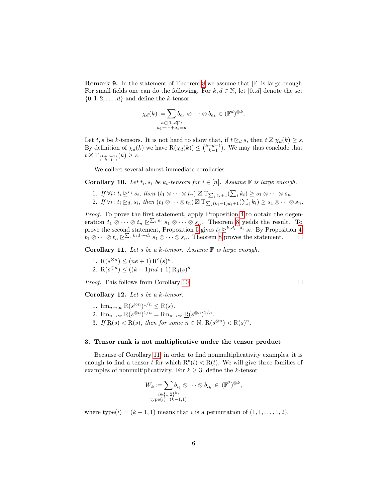**Remark 9.** In the statement of Theorem [8](#page-4-0) we assume that  $|\mathbb{F}|$  is large enough. For small fields one can do the following. For  $k, d \in \mathbb{N}$ , let  $[0..d]$  denote the set  $\{0, 1, 2, \ldots, d\}$  and define the k-tensor

$$
\chi_d(k) \coloneqq \sum_{\substack{a \in [0..d]^k:\\a_1 + \dots + a_k = d}} b_{a_1} \otimes \dots \otimes b_{a_k} \in (\mathbb{F}^d)^{\otimes k}.
$$

Let t, s be k-tensors. It is not hard to show that, if  $t \geq_d s$ , then  $t \boxtimes \chi_d(k) \geq s$ . By definition of  $\chi_d(k)$  we have  $R(\chi_d(k)) \leq {k+d-1 \choose k-1}$ . We may thus conclude that  $t \boxtimes T_{\binom{k+d-1}{k-1}}(k) \geq s.$ 

We collect several almost immediate corollaries.

<span id="page-5-3"></span>**Corollary 10.** Let  $t_i$ ,  $s_i$  be  $k_i$ -tensors for  $i \in [n]$ . Assume  $\mathbb F$  is large enough.

1. If 
$$
\forall i: t_i \trianglerighteq^{e_i} s_i
$$
, then  $(t_1 \otimes \cdots \otimes t_n) \boxtimes T_{\sum_i e_i + 1}(\sum_i k_i) \geq s_1 \otimes \cdots \otimes s_n$ .  
\n2. If  $\forall i: t_i \trianglerighteq_{d_i} s_i$ , then  $(t_1 \otimes \cdots \otimes t_n) \boxtimes T_{\sum_i (k_i - 1) d_i + 1}(\sum_i k_i) \geq s_1 \otimes \cdots \otimes s_n$ .

Proof. To prove the first statement, apply Proposition [4](#page-3-1) to obtain the degeneration  $t_1 \otimes \cdots \otimes t_n \trianglerighteq^{\sum_i e_i} s_1 \otimes \cdots \otimes s_n$ . Theorem [8](#page-4-0) yields the result. To prove the second statement, Proposition [5](#page-3-2) gives  $t_i \geq^{k_i d_i - d_i} s_i$ . By Proposition [4,](#page-3-1)  $t_1 \otimes \cdots \otimes t_n \trianglerighteq \sum_i k_i d_i - d_i s_1 \otimes \cdots \otimes s_n$ . Theorem [8](#page-4-0) proves the statement.  $\Box$ 

 $\Box$ 

<span id="page-5-1"></span>Corollary 11. Let s be a k-tensor. Assume  $F$  is large enough.

<span id="page-5-2"></span>1.  $R(s^{\otimes n}) \leq (ne+1) R^{e}(s)^{n}$ . 2.  $R(s^{\otimes n}) \le ((k-1)nd + 1) R_d(s)^n$ .

Proof. This follows from Corollary [10.](#page-5-3)

Corollary 12. Let  $s$  be a  $k$ -tensor.

- 1.  $\lim_{n\to\infty} \mathcal{R}(s^{\otimes n})^{1/n} \leq \underline{\mathcal{R}}(s)$ .
- 2.  $\lim_{n\to\infty} \mathcal{R}(s^{\otimes n})^{1/n} = \lim_{n\to\infty} \underline{\mathcal{R}}(s^{\otimes n})^{1/n}.$
- 3. If  $\underline{R}(s) < R(s)$ , then for some  $n \in \mathbb{N}$ ,  $R(s^{\otimes n}) < R(s)^n$ .

## 3. Tensor rank is not multiplicative under the tensor product

Because of Corollary [11,](#page-5-1) in order to find nonmultiplicativity examples, it is enough to find a tensor t for which  $R^e(t) < R(t)$ . We will give three families of examples of nonmultiplicativity. For  $k \geq 3$ , define the k-tensor

$$
W_k := \sum_{\substack{i \in \{1,2\}^k:\\ \text{type}(i) = (k-1,1)}} b_{i_1} \otimes \cdots \otimes b_{i_k} \in (\mathbb{F}^2)^{\otimes k},
$$

<span id="page-5-0"></span>where type $(i) = (k-1, 1)$  means that i is a permutation of  $(1, 1, \ldots, 1, 2)$ .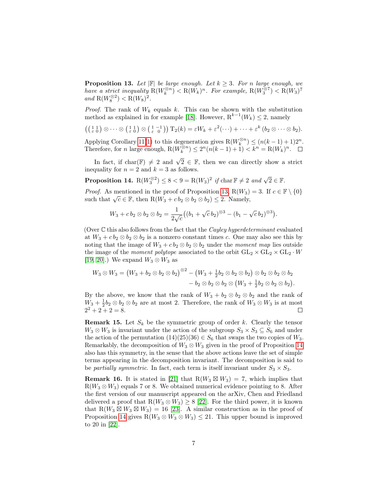**Proposition 13.** Let  $\mathbb{F}$  be large enough. Let  $k \geq 3$ . For n large enough, we have a strict inequality  $R(W_k^{\otimes n}) < R(W_k)^n$ . For example,  $R(W_3^{\otimes 7}) < R(W_3)^7$ and  $R(W_8^{\otimes 2}) < R(W_8)^2$ .

*Proof.* The rank of  $W_k$  equals k. This can be shown with the substitution method as explained in for example [\[18\]](#page-13-6). However,  $R^{k-1}(W_k) \leq 2$ , namely

$$
((\begin{smallmatrix} 1 & 1 \\ \varepsilon & 0 \end{smallmatrix}) \otimes \cdots \otimes (\begin{smallmatrix} 1 & 1 \\ \varepsilon & 0 \end{smallmatrix}) \otimes (\begin{smallmatrix} 1 & -1 \\ \varepsilon & 0 \end{smallmatrix})) T_2(k) = \varepsilon W_k + \varepsilon^2 (\cdots) + \cdots + \varepsilon^k (b_2 \otimes \cdots \otimes b_2).
$$

Applying Corollary [11](#page-5-1)[\(1\)](#page-5-2) to this degeneration gives  $R(W_k^{\otimes n}) \leq (n(k-1)+1)2^n$ . Therefore, for *n* large enough,  $R(W_k^{\otimes n}) \leq 2^n(n(k-1)+1) < k^n = R(W_k)^n$ .

In fact, if char( $\mathbb{F}) \neq 2$  and  $\sqrt{2} \in \mathbb{F}$ , then we can directly show a strict inequality for  $n = 2$  and  $k = 3$  as follows.

<span id="page-6-0"></span>**Proposition 14.**  $R(W_3^{\otimes 2}) \leq 8 < 9 = R(W_3)^2$  if  $\text{char } \mathbb{F} \neq 2$  and  $\sqrt{2} \in \mathbb{F}$ .

*Proof.* As mentioned in the proof of Proposition [13,](#page-5-0)  $R(W_3) = 3$ . If  $c \in \mathbb{F} \setminus \{0\}$ *Froof.* As mentioned in the proof of Froposition 13,  $R(W_3)$ <br>such that  $\sqrt{c} \in \mathbb{F}$ , then  $R(W_3 + c b_2 \otimes b_2 \otimes b_2) \leq 2$ . Namely,

$$
W_3 + c b_2 \otimes b_2 \otimes b_2 = \frac{1}{2\sqrt{c}} \big( (b_1 + \sqrt{c} b_2)^{\otimes 3} - (b_1 - \sqrt{c} b_2)^{\otimes 3} \big).
$$

(Over  $C$  this also follows from the fact that the *Cayley hyperdeterminant* evaluated at  $W_3 + c b_2 \otimes b_2 \otimes b_2$  is a nonzero constant times c. One may also see this by noting that the image of  $W_3 + c b_2 \otimes b_2$  ander the moment map lies outside the image of the *moment polytope* associated to the orbit  $GL_2 \times GL_2 \times GL_2 \cdot W$ [\[19,](#page-13-7) [20\]](#page-13-8).) We expand  $W_3 \otimes W_3$  as

$$
W_3 \otimes W_3 = (W_3 + b_2 \otimes b_2 \otimes b_2)^{\otimes 2} - (W_3 + \frac{1}{2}b_2 \otimes b_2 \otimes b_2) \otimes b_2 \otimes b_2 \otimes b_2
$$
  

$$
-b_2 \otimes b_2 \otimes b_2 \otimes (W_3 + \frac{1}{2}b_2 \otimes b_2 \otimes b_2).
$$

By the above, we know that the rank of  $W_3 + b_2 \otimes b_2 \otimes b_2$  and the rank of  $W_3 + \frac{1}{2}b_2 \otimes b_2 \otimes b_2$  are at most 2. Therefore, the rank of  $W_3 \otimes W_3$  is at most  $2^2 + 2 + 2 = 8.$  $\Box$ 

**Remark 15.** Let  $S_k$  be the symmetric group of order k. Clearly the tensor  $W_3 \otimes W_3$  is invariant under the action of the subgroup  $S_3 \times S_3 \subseteq S_6$  and under the action of the permutation  $(14)(25)(36) \in S_6$  that swaps the two copies of  $W_3$ . Remarkably, the decomposition of  $W_3 \otimes W_3$  given in the proof of Proposition [14](#page-6-0) also has this symmetry, in the sense that the above actions leave the set of simple terms appearing in the decomposition invariant. The decomposition is said to be partially symmetric. In fact, each term is itself invariant under  $S_3 \times S_3$ .

**Remark 16.** It is stated in [\[21\]](#page-13-9) that  $R(W_3 \boxtimes W_3) = 7$ , which implies that  $R(W_3 \otimes W_3)$  equals 7 or 8. We obtained numerical evidence pointing to 8. After the first version of our manuscript appeared on the arXiv, Chen and Friedland delivered a proof that  $R(W_3 \otimes W_3) \geq 8$  [\[22\]](#page-13-10). For the third power, it is known that R( $W_3 \boxtimes W_3 \boxtimes W_3$ ) = 16 [\[23\]](#page-13-11). A similar construction as in the proof of Proposition [14](#page-6-0) gives  $R(W_3 \otimes W_3 \otimes W_3) \leq 21$ . This upper bound is improved to 20 in [\[22\]](#page-13-10).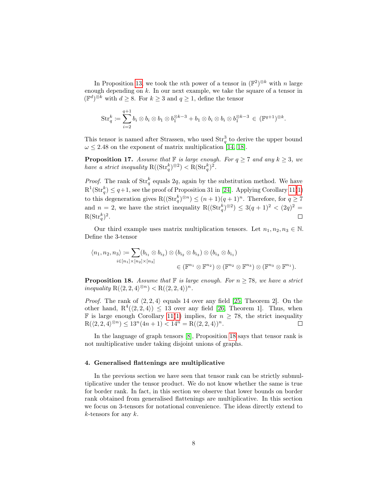In Proposition [13,](#page-5-0) we took the *n*<sup>th</sup> power of a tensor in  $(\mathbb{F}^2)^{\otimes k}$  with *n* large enough depending on k. In our next example, we take the square of a tensor in  $(\mathbb{F}^d)^{\otimes k}$  with  $d \geq 8$ . For  $k \geq 3$  and  $q \geq 1$ , define the tensor

$$
\text{Str}_q^k \coloneqq \sum_{i=2}^{q+1} b_i \otimes b_i \otimes b_1 \otimes b_1^{\otimes k-3} + b_1 \otimes b_i \otimes b_i \otimes b_1^{\otimes k-3} \in (\mathbb{F}^{q+1})^{\otimes k}.
$$

This tensor is named after Strassen, who used  $\text{Str}_q^3$  to derive the upper bound  $\omega \leq 2.48$  on the exponent of matrix multiplication [\[14,](#page-13-2) [18\]](#page-13-6).

<span id="page-7-0"></span>**Proposition 17.** Assume that  $\mathbb{F}$  is large enough. For  $q \geq 7$  and any  $k \geq 3$ , we have a strict inequality  $R((Str^k_q)^{\otimes 2}) < R(Str^k_q)^2$ .

*Proof.* The rank of  $\text{Str}_q^k$  equals 2q, again by the substitution method. We have  $R^1(\text{Str}_q^k) \leq q+1$ , see the proof of Proposition 31 in [\[24\]](#page-13-12). Applying Corollary [11\(](#page-5-1)[1\)](#page-5-2) to this degeneration gives  $R((Str_q^k)^{\otimes n}) \leq (n+1)(q+1)^n$ . Therefore, for  $q \geq 7$ and  $n = 2$ , we have the strict inequality  $R((Str_q^k)^{\otimes 2}) \leq 3(q+1)^2 < (2q)^2 =$  $R(\mathrm{Str}_q^k)^2$ .  $\Box$ 

Our third example uses matrix multiplication tensors. Let  $n_1, n_2, n_3 \in \mathbb{N}$ . Define the 3-tensor

$$
\langle n_1, n_2, n_3 \rangle \coloneqq \sum_{i \in [n_1] \times [n_2] \times [n_3]} (b_{i_1} \otimes b_{i_2}) \otimes (b_{i_2} \otimes b_{i_3}) \otimes (b_{i_3} \otimes b_{i_1})
$$
  

$$
\in (\mathbb{F}^{n_1} \otimes \mathbb{F}^{n_2}) \otimes (\mathbb{F}^{n_2} \otimes \mathbb{F}^{n_3}) \otimes (\mathbb{F}^{n_3} \otimes \mathbb{F}^{n_1}).
$$

<span id="page-7-1"></span>**Proposition 18.** Assume that  $\mathbb{F}$  is large enough. For  $n \geq 78$ , we have a strict inequality  $R(\langle 2, 2, 4 \rangle^{\otimes n}) < R(\langle 2, 2, 4 \rangle)^n$ .

*Proof.* The rank of  $\langle 2, 2, 4 \rangle$  equals 14 over any field [\[25,](#page-13-13) Theorem 2]. On the other hand,  $R^4(\langle 2, 2, 4 \rangle) \leq 13$  over any field [\[26,](#page-14-0) Theorem 1]. Thus, when **F** is large enough Corollary [11\(](#page-5-1)[1\)](#page-5-2) implies, for  $n \geq 78$ , the strict inequality  $R(\langle 2, 2, 4 \rangle^{\otimes n}) \leq 13^n (4n + 1) < 14^n = R(\langle 2, 2, 4 \rangle)^n.$  $\Box$ 

In the language of graph tensors [\[8\]](#page-12-7), Proposition [18](#page-7-1) says that tensor rank is not multiplicative under taking disjoint unions of graphs.

#### <span id="page-7-2"></span>4. Generalised flattenings are multiplicative

In the previous section we have seen that tensor rank can be strictly submultiplicative under the tensor product. We do not know whether the same is true for border rank. In fact, in this section we observe that lower bounds on border rank obtained from generalised flattenings are multiplicative. In this section we focus on 3-tensors for notational convenience. The ideas directly extend to  $k$ -tensors for any  $k$ .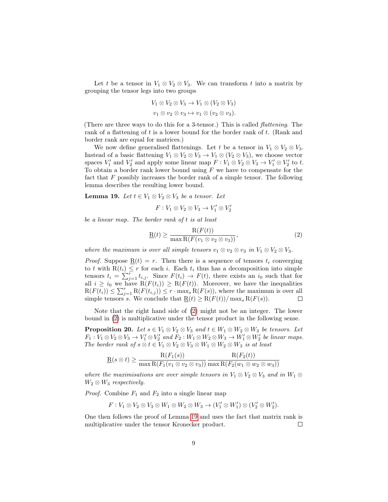Let t be a tensor in  $V_1 \otimes V_2 \otimes V_3$ . We can transform t into a matrix by grouping the tensor legs into two groups

$$
V_1 \otimes V_2 \otimes V_3 \to V_1 \otimes (V_2 \otimes V_3)
$$
  

$$
v_1 \otimes v_2 \otimes v_3 \mapsto v_1 \otimes (v_2 \otimes v_3).
$$

(There are three ways to do this for a 3-tensor.) This is called flattening. The rank of a flattening of t is a lower bound for the border rank of t. (Rank and border rank are equal for matrices.)

We now define generalised flattenings. Let t be a tensor in  $V_1 \otimes V_2 \otimes V_3$ . Instead of a basic flattening  $V_1 \otimes V_2 \otimes V_3 \rightarrow V_1 \otimes (V_2 \otimes V_3)$ , we choose vector spaces  $V'_1$  and  $V'_2$  and apply some linear map  $F: V_1 \otimes V_2 \otimes V_3 \to V'_1 \otimes V'_2$  to t. To obtain a border rank lower bound using  $F$  we have to compensate for the fact that  $F$  possibly increases the border rank of a simple tensor. The following lemma describes the resulting lower bound.

<span id="page-8-1"></span>Lemma 19. Let  $t \in V_1 \otimes V_2 \otimes V_3$  be a tensor. Let

<span id="page-8-0"></span>
$$
F: V_1 \otimes V_2 \otimes V_3 \to V'_1 \otimes V'_2
$$

be a linear map. The border rank of t is at least

$$
\underline{\mathbf{R}}(t) \ge \frac{\mathbf{R}(F(t))}{\max \mathbf{R}(F(v_1 \otimes v_2 \otimes v_3))},\tag{2}
$$

where the maximum is over all simple tensors  $v_1 \otimes v_2 \otimes v_3$  in  $V_1 \otimes V_2 \otimes V_3$ .

*Proof.* Suppose  $\underline{R}(t) = r$ . Then there is a sequence of tensors  $t_i$  converging to t with  $R(t_i) \leq r$  for each i. Each  $t_i$  thus has a decomposition into simple tensors  $t_i = \sum_{j=1}^{r} t_{i,j}$ . Since  $F(t_i) \rightarrow F(t)$ , there exists an  $i_0$  such that for all  $i \geq i_0$  we have  $\widetilde{R}(F(t_i)) \geq \widetilde{R}(F(t))$ . Moreover, we have the inequalities  $R(F(\overline{t_i})) \leq \sum_{j=1}^r R(F(t_{i,j})) \leq r \cdot \max_s R(F(s))$ , where the maximum is over all simple tensors s. We conclude that  $\underline{\mathbf{R}}(t) \geq \mathbf{R}(F(t))/\max_{s} \mathbf{R}(F(s)).$ 

Note that the right hand side of [\(2\)](#page-8-0) might not be an integer. The lower bound in [\(2\)](#page-8-0) is multiplicative under the tensor product in the following sense.

<span id="page-8-2"></span>**Proposition 20.** Let  $s \in V_1 \otimes V_2 \otimes V_3$  and  $t \in W_1 \otimes W_2 \otimes W_3$  be tensors. Let  $F_1: V_1 \otimes V_2 \otimes V_3 \to V'_1 \otimes V'_2$  and  $F_2: W_1 \otimes W_2 \otimes W_3 \to W'_1 \otimes W'_2$  be linear maps. The border rank of  $s \otimes t \in V_1 \otimes V_2 \otimes V_3 \otimes W_1 \otimes W_2 \otimes W_3$  is at least

$$
\underline{\mathrm{R}}(s\otimes t)\geq \frac{\mathrm{R}(F_1(s))}{\max\mathrm{R}(F_1(v_1\otimes v_2\otimes v_3))}\frac{\mathrm{R}(F_2(t))}{\max\mathrm{R}(F_2(w_1\otimes w_2\otimes w_3))}
$$

where the maximisations are over simple tensors in  $V_1 \otimes V_2 \otimes V_3$  and in  $W_1 \otimes V_2$  $W_2 \otimes W_3$  respectively.

*Proof.* Combine  $F_1$  and  $F_2$  into a single linear map

$$
F: V_1 \otimes V_2 \otimes V_3 \otimes W_1 \otimes W_2 \otimes W_3 \to (V'_1 \otimes W'_1) \otimes (V'_2 \otimes W'_2).
$$

One then follows the proof of Lemma [19](#page-8-1) and uses the fact that matrix rank is multiplicative under the tensor Kronecker product.  $\Box$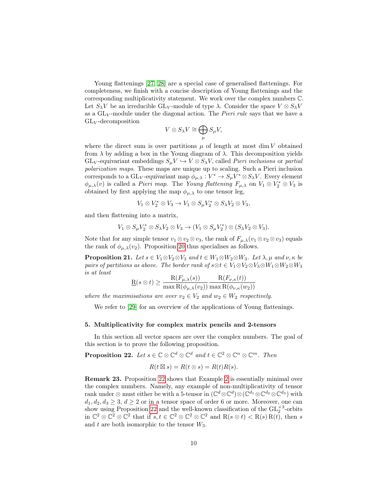Young flattenings [\[27,](#page-14-1) [28\]](#page-14-2) are a special case of generalised flattenings. For completeness, we finish with a concise description of Young flattenings and the corresponding multiplicativity statement. We work over the complex numbers C. Let  $S_\lambda V$  be an irreducible GL<sub>V</sub>-module of type  $\lambda$ . Consider the space  $V \otimes S_\lambda V$ as a  $GL_V$ -module under the diagonal action. The *Pieri rule* says that we have a  $GL_V$ -decomposition

$$
V\otimes S_{\lambda}V\cong \bigoplus_{\mu}S_{\mu}V,
$$

where the direct sum is over partitions  $\mu$  of length at most dim V obtained from  $\lambda$  by adding a box in the Young diagram of  $\lambda$ . This decomposition yields  $GL_V$ -equivariant embeddings  $S_\mu V \hookrightarrow V \otimes S_\lambda V$ , called *Pieri inclusions* or partial polarization maps. These maps are unique up to scaling. Such a Pieri inclusion corresponds to a  $GL_V$ -equivariant map  $\phi_{\mu,\lambda}: V^* \to S_{\mu}V^* \otimes S_{\lambda}V$ . Every element  $\phi_{\mu,\lambda}(v)$  is called a *Pieri map*. The Young flattening  $F_{\mu,\lambda}$  on  $V_1 \otimes V_2^* \otimes V_3$  is obtained by first applying the map  $\phi_{\mu,\lambda}$  to one tensor leg,

$$
V_1 \otimes V_2^* \otimes V_3 \to V_1 \otimes S_{\mu} V_2^* \otimes S_{\lambda} V_2 \otimes V_3,
$$

and then flattening into a matrix,

$$
V_1 \otimes S_{\mu} V_2^* \otimes S_{\lambda} V_2 \otimes V_3 \to (V_1 \otimes S_{\mu} V_2^*) \otimes (S_{\lambda} V_2 \otimes V_3).
$$

Note that for any simple tensor  $v_1 \otimes v_2 \otimes v_3$ , the rank of  $F_{\mu,\lambda}(v_1 \otimes v_2 \otimes v_3)$  equals the rank of  $\phi_{\mu,\lambda}(v_2)$ . Proposition [20](#page-8-2) thus specialises as follows.

**Proposition 21.** Let  $s \in V_1 \otimes V_2 \otimes V_3$  and  $t \in W_1 \otimes W_2 \otimes W_3$ . Let  $\lambda, \mu$  and  $\nu, \kappa$  be pairs of partitions as above. The border rank of  $s \otimes t \in V_1 \otimes V_2 \otimes V_3 \otimes W_1 \otimes W_2 \otimes W_3$ is at least

$$
\mathbf{R}(s \otimes t) \ge \frac{\mathbf{R}(F_{\mu,\lambda}(s))}{\max \mathbf{R}(\phi_{\mu,\lambda}(v_2))} \frac{\mathbf{R}(F_{\nu,\kappa}(t))}{\max \mathbf{R}(\phi_{\nu,\kappa}(w_2))}
$$

where the maximisations are over  $v_2 \in V_2$  and  $w_2 \in W_2$  respectively.

We refer to [\[29\]](#page-14-3) for an overview of the applications of Young flattenings.

### <span id="page-9-0"></span>5. Multiplicativity for complex matrix pencils and 2-tensors

In this section all vector spaces are over the complex numbers. The goal of this section is to prove the following proposition.

<span id="page-9-1"></span>**Proposition 22.** Let 
$$
s \in \mathbb{C} \otimes \mathbb{C}^d \otimes \mathbb{C}^d
$$
 and  $t \in \mathbb{C}^2 \otimes \mathbb{C}^n \otimes \mathbb{C}^m$ . Then

$$
R(t \boxtimes s) = R(t \otimes s) = R(t)R(s).
$$

Remark 23. Proposition [22](#page-9-1) shows that Example [2](#page-1-0) is essentially minimal over the complex numbers. Namely, any example of non-multiplicativity of tensor rank under ⊗ must either be with a 5-tensor in  $(\mathbb{C}^d \otimes \mathbb{C}^d) \otimes (\mathbb{C}^{d_1} \otimes \mathbb{C}^{d_2} \otimes \mathbb{C}^{d_3})$  with  $d_1, d_2, d_3 \geq 3, d \geq 2$  or in a tensor space of order 6 or more. Moreover, one can show using Proposition [22](#page-9-1) and the well-known classification of the  $\mathrm{GL}_2^{\times 3}$  orbits in  $\mathbb{C}^2 \otimes \mathbb{C}^2 \otimes \mathbb{C}^2$  that if  $s, t \in \mathbb{C}^2 \otimes \mathbb{C}^2 \otimes \mathbb{C}^2$  and  $R(s \otimes t) < R(s)R(t)$ , then s and t are both isomorphic to the tensor  $W_3$ .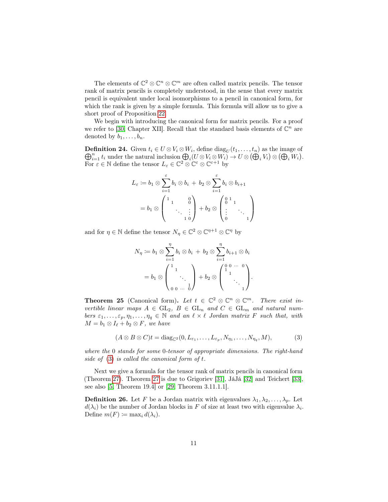The elements of  $\mathbb{C}^2 \otimes \mathbb{C}^n \otimes \mathbb{C}^m$  are often called matrix pencils. The tensor rank of matrix pencils is completely understood, in the sense that every matrix pencil is equivalent under local isomorphisms to a pencil in canonical form, for which the rank is given by a simple formula. This formula will allow us to give a short proof of Proposition [22.](#page-9-1)

We begin with introducing the canonical form for matrix pencils. For a proof we refer to [\[30,](#page-14-4) Chapter XII]. Recall that the standard basis elements of  $\mathbb{C}^n$  are denoted by  $b_1, \ldots, b_n$ .

**Definition 24.** Given  $t_i \in U \otimes V_i \otimes W_i$ , define  $\text{diag}_U(t_1, \ldots, t_n)$  as the image of  $\bigoplus_{i=1}^n t_i$  under the natural inclusion  $\bigoplus_i (U \otimes V_i \otimes W_i) \to U \otimes (\bigoplus_i V_i) \otimes (\bigoplus_i W_i)$ . For  $\varepsilon \in \mathbb{N}$  define the tensor  $L_{\varepsilon} \in \mathbb{C}^2 \otimes \mathbb{C}^{\varepsilon} \otimes \mathbb{C}^{\varepsilon+1}$  by

$$
L_{\varepsilon} := b_1 \otimes \sum_{i=1}^{\varepsilon} b_i \otimes b_i + b_2 \otimes \sum_{i=1}^{\varepsilon} b_i \otimes b_{i+1}
$$
  
=  $b_1 \otimes \begin{pmatrix} 1 & 0 \\ & \ddots & \vdots \\ & & 1 & 0 \\ & & & 1 \end{pmatrix} + b_2 \otimes \begin{pmatrix} 0 & 1 \\ 0 & 1 \\ \vdots & & \ddots \\ 0 & & & 1 \end{pmatrix}$ 

and for  $\eta \in \mathbb{N}$  define the tensor  $N_{\eta} \in \mathbb{C}^2 \otimes \mathbb{C}^{\eta+1} \otimes \mathbb{C}^{\eta}$  by

$$
N_{\eta} := b_1 \otimes \sum_{i=1}^{\eta} b_i \otimes b_i + b_2 \otimes \sum_{i=1}^{\eta} b_{i+1} \otimes b_i
$$
  
=  $b_1 \otimes \begin{pmatrix} 1 & & & \\ & \ddots & & \\ & & \ddots & \\ & & & 1 \end{pmatrix} + b_2 \otimes \begin{pmatrix} 0 & 0 & \cdots & 0 \\ & 1 & & \\ & & \ddots & \\ & & & 1 \end{pmatrix}.$ 

<span id="page-10-2"></span>**Theorem 25** (Canonical form). Let  $t \in \mathbb{C}^2 \otimes \mathbb{C}^n \otimes \mathbb{C}^m$ . There exist invertible linear maps  $A \in GL_2$ ,  $B \in GL_n$  and  $C \in GL_m$  and natural numbers  $\varepsilon_1, \ldots, \varepsilon_p, \eta_1, \ldots, \eta_q \in \mathbb{N}$  and an  $\ell \times \ell$  Jordan matrix F such that, with  $M = b_1 \otimes I_\ell + b_2 \otimes F$ , we have

<span id="page-10-0"></span>
$$
(A \otimes B \otimes C)t = \text{diag}_{\mathbb{C}^2}(0, L_{\varepsilon_1}, \dots, L_{\varepsilon_p}, N_{\eta_1}, \dots, N_{\eta_q}, M),
$$
 (3)

where the 0 stands for some 0-tensor of appropriate dimensions. The right-hand side of  $(3)$  is called the canonical form of t.

Next we give a formula for the tensor rank of matrix pencils in canonical form (Theorem [27\)](#page-10-1). Theorem [27](#page-10-1) is due to Grigoriev [\[31\]](#page-14-5), JáJá [\[32\]](#page-14-6) and Teichert [\[33\]](#page-14-7), see also [\[5,](#page-12-4) Theorem 19.4] or [\[29,](#page-14-3) Theorem 3.11.1.1].

<span id="page-10-1"></span>**Definition 26.** Let F be a Jordan matrix with eigenvalues  $\lambda_1, \lambda_2, \ldots, \lambda_p$ . Let  $d(\lambda_i)$  be the number of Jordan blocks in F of size at least two with eigenvalue  $\lambda_i$ . Define  $m(F) \coloneqq \max_i d(\lambda_i)$ .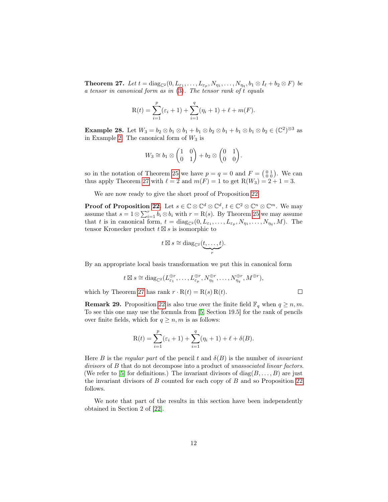**Theorem 27.** Let  $t = diag_{\mathbb{C}^2}(0, L_{\varepsilon_1}, \ldots, L_{\varepsilon_p}, N_{\eta_1}, \ldots, N_{\eta_q}, b_1 \otimes I_\ell + b_2 \otimes F)$  be a tensor in canonical form as in [\(3\)](#page-10-0). The tensor rank of t equals

$$
R(t) = \sum_{i=1}^{p} (\varepsilon_i + 1) + \sum_{i=1}^{q} (\eta_i + 1) + \ell + m(F).
$$

**Example 28.** Let  $W_3 = b_2 \otimes b_1 \otimes b_1 + b_1 \otimes b_2 \otimes b_1 + b_1 \otimes b_1 \otimes b_2 \in (\mathbb{C}^2)^{\otimes 3}$  as in Example [2.](#page-1-0) The canonical form of  $W_3$  is

$$
W_3 \cong b_1 \otimes \begin{pmatrix} 1 & 0 \\ 0 & 1 \end{pmatrix} + b_2 \otimes \begin{pmatrix} 0 & 1 \\ 0 & 0 \end{pmatrix}.
$$

so in the notation of Theorem [25](#page-10-2) we have  $p = q = 0$  and  $F = \begin{pmatrix} 0 & 1 \\ 0 & 0 \end{pmatrix}$ . We can thus apply Theorem [27](#page-10-1) with  $\ell = 2$  and  $m(F) = 1$  to get  $R(W_3) = 2 + 1 = 3$ .

We are now ready to give the short proof of Proposition [22.](#page-9-1)

**Proof of Proposition [22.](#page-9-1)** Let  $s \in \mathbb{C} \otimes \mathbb{C}^d \otimes \mathbb{C}^d$ ,  $t \in \mathbb{C}^2 \otimes \mathbb{C}^n \otimes \mathbb{C}^m$ . We may assume that  $s = 1 \otimes \sum_{i=1}^{r} b_i \otimes b_i$  with  $r = R(s)$ . By Theorem [25](#page-10-2) we may assume that t is in canonical form,  $t = diag_{\mathbb{C}^2}(0, L_{\varepsilon_1}, \ldots, L_{\varepsilon_p}, N_{\eta_1}, \ldots, N_{\eta_q}, M)$ . The tensor Kronecker product  $t \boxtimes s$  is isomorphic to

$$
t \boxtimes s \cong \text{diag}_{\mathbb{C}^2}(\underbrace{t,\ldots,t}_{r}).
$$

By an appropriate local basis transformation we put this in canonical form

$$
t \boxtimes s \cong \text{diag}_{\mathbb{C}^2}(L_{\varepsilon_1}^{\oplus r}, \ldots, L_{\varepsilon_p}^{\oplus r}, N_{\eta_1}^{\oplus r}, \ldots, N_{\eta_q}^{\oplus r}, M^{\oplus r}),
$$

which by Theorem [27](#page-10-1) has rank  $r \cdot R(t) = R(s) R(t)$ .

**Remark 29.** Proposition [22](#page-9-1) is also true over the finite field  $\mathbb{F}_q$  when  $q \geq n, m$ . To see this one may use the formula from [\[5,](#page-12-4) Section 19.5] for the rank of pencils over finite fields, which for  $q \geq n, m$  is as follows:

$$
R(t) = \sum_{i=1}^{p} (\varepsilon_i + 1) + \sum_{i=1}^{q} (\eta_i + 1) + \ell + \delta(B).
$$

Here B is the regular part of the pencil t and  $\delta(B)$  is the number of invariant divisors of B that do not decompose into a product of unassociated linear factors. (We refer to [\[5\]](#page-12-4) for definitions.) The invariant divisors of  $diag(B, \ldots, B)$  are just the invariant divisors of B counted for each copy of B and so Proposition [22](#page-9-1) follows.

We note that part of the results in this section have been independently obtained in Section 2 of [\[22\]](#page-13-10).

 $\Box$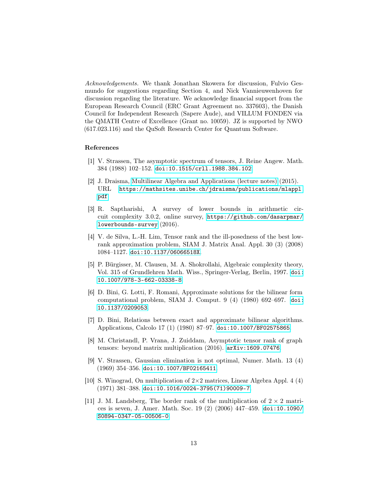Acknowledgements. We thank Jonathan Skowera for discussion, Fulvio Gesmundo for suggestions regarding Section 4, and Nick Vannieuwenhoven for discussion regarding the literature. We acknowledge financial support from the European Research Council (ERC Grant Agreement no. 337603), the Danish Council for Independent Research (Sapere Aude), and VILLUM FONDEN via the QMATH Centre of Excellence (Grant no. 10059). JZ is supported by NWO (617.023.116) and the QuSoft Research Center for Quantum Software.

## References

- <span id="page-12-0"></span>[1] V. Strassen, The asymptotic spectrum of tensors, J. Reine Angew. Math. 384 (1988) 102–152. [doi:10.1515/crll.1988.384.102](http://dx.doi.org/10.1515/crll.1988.384.102).
- <span id="page-12-1"></span>[2] J. Draisma, [Multilinear Algebra and Applications \(lecture notes\)](https://mathsites.unibe.ch/jdraisma/publications/mlappl.pdf) (2015). URL [https://mathsites.unibe.ch/jdraisma/publications/mlappl.](https://mathsites.unibe.ch/jdraisma/publications/mlappl.pdf) [pdf](https://mathsites.unibe.ch/jdraisma/publications/mlappl.pdf)
- <span id="page-12-2"></span>[3] R. Saptharishi, A survey of lower bounds in arithmetic circuit complexity 3.0.2, online survey, [https://github.com/dasarpmar/](https://github.com/dasarpmar/lowerbounds-survey) [lowerbounds-survey](https://github.com/dasarpmar/lowerbounds-survey) (2016).
- <span id="page-12-3"></span>[4] V. de Silva, L.-H. Lim, Tensor rank and the ill-posedness of the best lowrank approximation problem, SIAM J. Matrix Anal. Appl. 30 (3) (2008) 1084–1127. [doi:10.1137/06066518X](http://dx.doi.org/10.1137/06066518X).
- <span id="page-12-4"></span>[5] P. Bürgisser, M. Clausen, M. A. Shokrollahi, Algebraic complexity theory, Vol. 315 of Grundlehren Math. Wiss., Springer-Verlag, Berlin, 1997. [doi:](http://dx.doi.org/10.1007/978-3-662-03338-8) [10.1007/978-3-662-03338-8](http://dx.doi.org/10.1007/978-3-662-03338-8).
- <span id="page-12-5"></span>[6] D. Bini, G. Lotti, F. Romani, Approximate solutions for the bilinear form computational problem, SIAM J. Comput. 9 (4) (1980) 692–697. [doi:](http://dx.doi.org/10.1137/0209053) [10.1137/0209053](http://dx.doi.org/10.1137/0209053).
- <span id="page-12-6"></span>[7] D. Bini, Relations between exact and approximate bilinear algorithms. Applications, Calcolo 17 (1) (1980) 87–97. [doi:10.1007/BF02575865](http://dx.doi.org/10.1007/BF02575865).
- <span id="page-12-7"></span>[8] M. Christandl, P. Vrana, J. Zuiddam, Asymptotic tensor rank of graph tensors: beyond matrix multiplication (2016). [arXiv:1609.07476](http://arxiv.org/abs/1609.07476).
- <span id="page-12-8"></span>[9] V. Strassen, Gaussian elimination is not optimal, Numer. Math. 13 (4) (1969) 354–356. [doi:10.1007/BF02165411](http://dx.doi.org/10.1007/BF02165411).
- <span id="page-12-9"></span>[10] S. Winograd, On multiplication of  $2\times 2$  matrices, Linear Algebra Appl. 4 (4) (1971) 381–388. [doi:10.1016/0024-3795\(71\)90009-7](http://dx.doi.org/10.1016/0024-3795(71)90009-7).
- <span id="page-12-10"></span>[11] J. M. Landsberg, The border rank of the multiplication of  $2 \times 2$  matrices is seven, J. Amer. Math. Soc. 19 (2) (2006) 447–459. [doi:10.1090/](http://dx.doi.org/10.1090/S0894-0347-05-00506-0) [S0894-0347-05-00506-0](http://dx.doi.org/10.1090/S0894-0347-05-00506-0).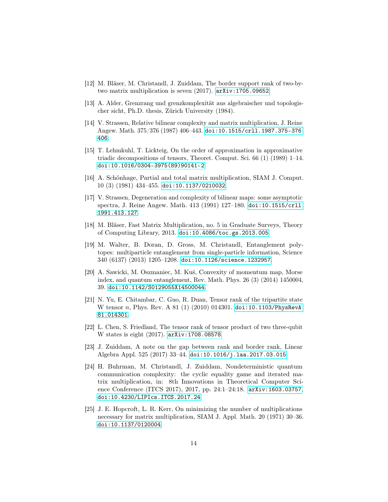- <span id="page-13-0"></span>[12] M. Bläser, M. Christandl, J. Zuiddam, The border support rank of two-bytwo matrix multiplication is seven (2017). [arXiv:1705.09652](http://arxiv.org/abs/1705.09652).
- <span id="page-13-1"></span>[13] A. Alder, Grenzrang und grenzkomplexität aus algebraischer und topologischer sicht, Ph.D. thesis, Zürich University (1984).
- <span id="page-13-2"></span>[14] V. Strassen, Relative bilinear complexity and matrix multiplication, J. Reine Angew. Math. 375/376 (1987) 406–443. [doi:10.1515/crll.1987.375-376.](http://dx.doi.org/10.1515/crll.1987.375-376.406) [406](http://dx.doi.org/10.1515/crll.1987.375-376.406).
- <span id="page-13-3"></span>[15] T. Lehmkuhl, T. Lickteig, On the order of approximation in approximative triadic decompositions of tensors, Theoret. Comput. Sci. 66 (1) (1989) 1–14. [doi:10.1016/0304-3975\(89\)90141-2](http://dx.doi.org/10.1016/0304-3975(89)90141-2).
- <span id="page-13-4"></span>[16] A. Schönhage, Partial and total matrix multiplication, SIAM J. Comput. 10 (3) (1981) 434–455. [doi:10.1137/0210032](http://dx.doi.org/10.1137/0210032).
- <span id="page-13-5"></span>[17] V. Strassen, Degeneration and complexity of bilinear maps: some asymptotic spectra, J. Reine Angew. Math. 413 (1991) 127–180. [doi:10.1515/crll.](http://dx.doi.org/10.1515/crll.1991.413.127) [1991.413.127](http://dx.doi.org/10.1515/crll.1991.413.127).
- <span id="page-13-6"></span>[18] M. Bläser, Fast Matrix Multiplication, no. 5 in Graduate Surveys, Theory of Computing Library, 2013. [doi:10.4086/toc.gs.2013.005](http://dx.doi.org/10.4086/toc.gs.2013.005).
- <span id="page-13-7"></span>[19] M. Walter, B. Doran, D. Gross, M. Christandl, Entanglement polytopes: multiparticle entanglement from single-particle information, Science 340 (6137) (2013) 1205–1208. [doi:10.1126/science.1232957](http://dx.doi.org/10.1126/science.1232957).
- <span id="page-13-8"></span>[20] A. Sawicki, M. Oszmaniec, M. Kuś, Convexity of momentum map, Morse index, and quantum entanglement, Rev. Math. Phys. 26 (3) (2014) 1450004, 39. [doi:10.1142/S0129055X14500044](http://dx.doi.org/10.1142/S0129055X14500044).
- <span id="page-13-9"></span>[21] N. Yu, E. Chitambar, C. Guo, R. Duan, Tensor rank of the tripartite state W tensor n, Phys. Rev. A 81 (1) (2010) 014301. [doi:10.1103/PhysRevA.](http://dx.doi.org/10.1103/PhysRevA.81.014301) [81.014301](http://dx.doi.org/10.1103/PhysRevA.81.014301).
- <span id="page-13-10"></span>[22] L. Chen, S. Friedland, The tensor rank of tensor product of two three-qubit W states is eight (2017). [arXiv:1708.08578](http://arxiv.org/abs/1708.08578).
- <span id="page-13-11"></span>[23] J. Zuiddam, A note on the gap between rank and border rank, Linear Algebra Appl. 525 (2017) 33–44. [doi:10.1016/j.laa.2017.03.015](http://dx.doi.org/10.1016/j.laa.2017.03.015).
- <span id="page-13-12"></span>[24] H. Buhrman, M. Christandl, J. Zuiddam, Nondeterministic quantum communication complexity: the cyclic equality game and iterated matrix multiplication, in: 8th Innovations in Theoretical Computer Science Conference (ITCS 2017), 2017, pp. 24:1–24:18. [arXiv:1603.03757](http://arxiv.org/abs/1603.03757), [doi:10.4230/LIPIcs.ITCS.2017.24](http://dx.doi.org/10.4230/LIPIcs.ITCS.2017.24).
- <span id="page-13-13"></span>[25] J. E. Hopcroft, L. R. Kerr, On minimizing the number of multiplications necessary for matrix multiplication, SIAM J. Appl. Math. 20 (1971) 30–36. [doi:10.1137/0120004](http://dx.doi.org/10.1137/0120004).